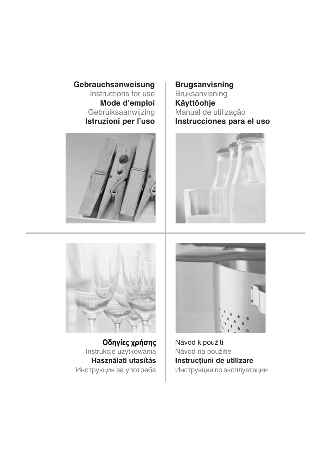**Gebrauchsanweisung** Instructions for use **Mode d'emploi** Gebruiksaanwijzing **Istruzioni per l'uso**



**Brugsanvisning** Bruksanvisning **Käyttöohje** Manual de utilização **Instrucciones para el uso**





Οδηγίες χρήσης Instrukcje użytkowania **Használati utasítás** Инструкция за употреба



Návod k použití Návod na použitie **Instrucţiuni de utilizare** Инструкции по эксплуатации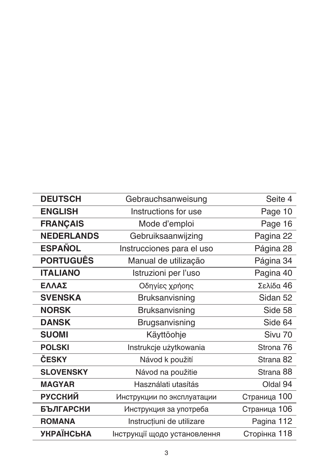| <b>DEUTSCH</b>    | Gebrauchsanweisung           | Seite 4      |
|-------------------|------------------------------|--------------|
| <b>ENGLISH</b>    | Instructions for use         | Page 10      |
| <b>FRANÇAIS</b>   | Mode d'emploi                | Page 16      |
| <b>NEDERLANDS</b> | Gebruiksaanwijzing           | Pagina 22    |
| <b>ESPAÑOL</b>    | Instrucciones para el uso    | Página 28    |
| <b>PORTUGUÊS</b>  | Manual de utilização         | Página 34    |
| <b>ITALIANO</b>   | Istruzioni per l'uso         | Pagina 40    |
| ΕΛΛΑΣ             | Οδηγίες χρήοης               | Σελίδα 46    |
| <b>SVENSKA</b>    | Bruksanvisning               | Sidan 52     |
| <b>NORSK</b>      | <b>Bruksanvisning</b>        | Side 58      |
| <b>DANSK</b>      | Brugsanvisning               | Side 64      |
| <b>SUOMI</b>      | Käyttöohje                   | Sivu 70      |
| <b>POLSKI</b>     | Instrukcje użytkowania       | Strona 76    |
| ČESKY             | Návod k použití              | Strana 82    |
| <b>SLOVENSKY</b>  | Návod na použitie            | Strana 88    |
| <b>MAGYAR</b>     | Használati utasítás          | Oldal 94     |
| <b>РУССКИЙ</b>    | Инструкции по эксплуатации   | Страница 100 |
| <b>БЪЛГАРСКИ</b>  | Инструкция за употреба       | Страница 106 |
| <b>ROMANA</b>     | Instrucțiuni de utilizare    | Pagina 112   |
| <b>УКРАЇНСЬКА</b> | Інструкції щодо установлення | Сторінка 118 |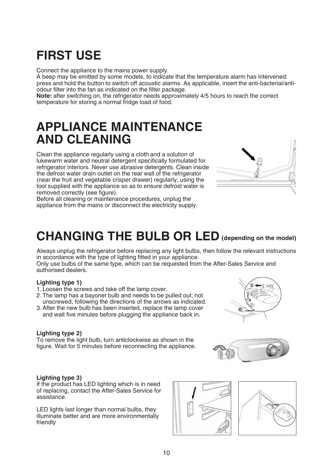# **FIRST USE**

Connect the appliance to the mains power supply.

A beep may be emitted by some models, to indicate that the temperature alarm has intervened: press and hold the button to switch off acoustic alarms. As applicable, insert the anti-bacterial/antiodour filter into the fan as indicated on the filter package.

Note: after switching on, the refrigerator needs approximately 4/5 hours to reach the correct temperature for storing a normal fridge load of food.

# **APPLIANCE MAINTENANCE AND CLEANING**

Clean the appliance regularly using a cloth and a solution of lukewarm water and neutral detergent specifically formulated for refrigerator interiors. Never use abrasive detergents. Clean inside the defrost water drain outlet on the rear wall of the refrigerator (near the fruit and vegetable crisper drawer) regularly, using the tool supplied with the appliance so as to ensure defrost water is removed correctly (see figure).

Before all cleaning or maintenance procedures, unplug the appliance from the mains or disconnect the electricity supply.

# **CHANGING THE BULB OR LED (depending on the model)**

Always unplug the refrigerator before replacing any light bulbs, then follow the relevant instructions in accordance with the type of lighting fitted in your appliance.

Only use bulbs of the same type, which can be requested from the After-Sales Service and authorised dealers.

### **Lighting type 1)**

- 1. Loosen the screws and take off the lamp cover.
- 2. The lamp has a bayonet bulb and needs to be pulled out, not unscrewed, following the directions of the arrows as indicated.
- 3.After the new bulb has been inserted, replace the lamp cover and wait five minutes before plugging the appliance back in.

### **Lighting type 2)**

To remove the light bulb, turn anticlockwise as shown in the figure. Wait for 5 minutes before reconnecting the appliance.

### **Lighting type 3)**

If the product has LED lighting which is in need of replacing, contact the After-Sales Service for assistance.

LED lights last longer than normal bulbs, they illuminate better and are more environmentally friendly







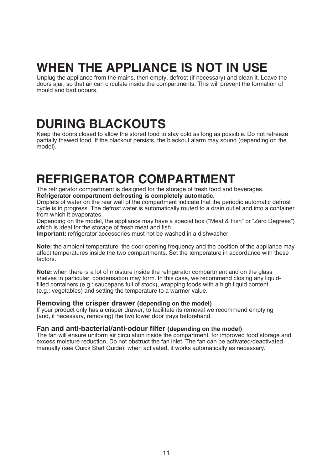# **WHEN THE APPLIANCE IS NOT IN USE**

Unplug the appliance from the mains, then empty, defrost (if necessary) and clean it. Leave the doors ajar, so that air can circulate inside the compartments. This will prevent the formation of mould and bad odours.

# **DURING BLACKOUTS**

Keep the doors closed to allow the stored food to stay cold as long as possible. Do not refreeze partially thawed food. If the blackout persists, the blackout alarm may sound (depending on the model).

# **REFRIGERATOR COMPARTMENT**

The refrigerator compartment is designed for the storage of fresh food and beverages. **Refrigerator compartment defrosting is completely automatic.**

Droplets of water on the rear wall of the compartment indicate that the periodic automatic defrost cycle is in progress. The defrost water is automatically routed to a drain outlet and into a container from which it evaporates.

Depending on the model, the appliance may have a special box ("Meat & Fish" or "Zero Degrees") which is ideal for the storage of fresh meat and fish.

**Important:** refrigerator accessories must not be washed in a dishwasher.

**Note:** the ambient temperature, the door opening frequency and the position of the appliance may affect temperatures inside the two compartments. Set the temperature in accordance with these factors.

**Note:** when there is a lot of moisture inside the refrigerator compartment and on the glass shelves in particular, condensation may form. In this case, we recommend closing any liquidfilled containers (e.g.: saucepans full of stock), wrapping foods with a high liquid content (e.g.: vegetables) and setting the temperature to a warmer value.

### **Removing the crisper drawer (depending on the model)**

If your product only has a crisper drawer, to facilitate its removal we recommend emptying (and, if necessary, removing) the two lower door trays beforehand.

### **Fan and anti-bacterial/anti-odour filter (depending on the model)**

The fan will ensure uniform air circulation inside the compartment, for improved food storage and excess moisture reduction. Do not obstruct the fan inlet. The fan can be activated/deactivated manually (see Quick Start Guide); when activated, it works automatically as necessary.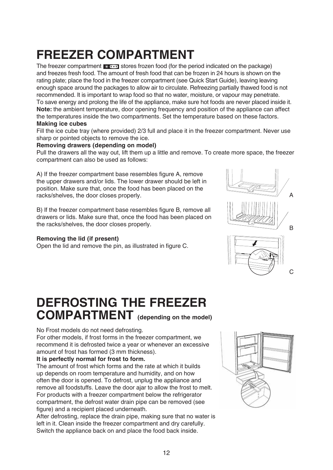# **FREEZER COMPARTMENT**

The freezer compartment  $\mathbb{R}$   $\rightarrow$  stores frozen food (for the period indicated on the package) and freezes fresh food. The amount of fresh food that can be frozen in 24 hours is shown on the rating plate; place the food in the freezer compartment (see Quick Start Guide), leaving leaving enough space around the packages to allow air to circulate. Refreezing partially thawed food is not recommended. It is important to wrap food so that no water, moisture, or vapour may penetrate. To save energy and prolong the life of the appliance, make sure hot foods are never placed inside it. **Note:** the ambient temperature, door opening frequency and position of the appliance can affect the temperatures inside the two compartments. Set the temperature based on these factors. **Making ice cubes**

Fill the ice cube tray (where provided) 2/3 full and place it in the freezer compartment. Never use sharp or pointed objects to remove the ice.

### **Removing drawers (depending on model)**

Pull the drawers all the way out, lift them up a little and remove. To create more space, the freezer compartment can also be used as follows:

A) If the freezer compartment base resembles figure A, remove the upper drawers and/or lids. The lower drawer should be left in position. Make sure that, once the food has been placed on the racks/shelves, the door closes properly.

B) If the freezer compartment base resembles figure B, remove all drawers or lids. Make sure that, once the food has been placed on the racks/shelves, the door closes properly.

### **Removing the lid (if present)**

Open the lid and remove the pin, as illustrated in figure C.

# **DEFROSTING THE FREEZER COMPARTMENT (depending on the model)**

### No Frost models do not need defrosting.

For other models, if frost forms in the freezer compartment, we recommend it is defrosted twice a year or whenever an excessive amount of frost has formed (3 mm thickness).

### **It is perfectly normal for frost to form.**

The amount of frost which forms and the rate at which it builds up depends on room temperature and humidity, and on how often the door is opened. To defrost, unplug the appliance and remove all foodstuffs. Leave the door ajar to allow the frost to melt. For products with a freezer compartment below the refrigerator compartment, the defrost water drain pipe can be removed (see figure) and a recipient placed underneath.

After defrosting, replace the drain pipe, making sure that no water is left in it. Clean inside the freezer compartment and dry carefully. Switch the appliance back on and place the food back inside.



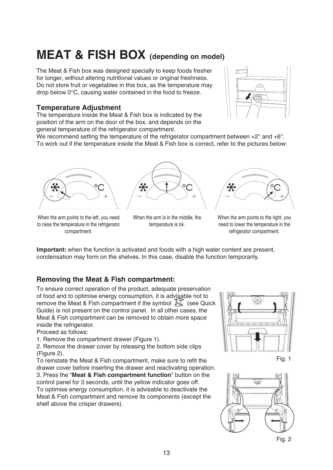# **MEAT & FISH BOX (depending on model)**

The Meat & Fish box was designed specially to keep foods fresher for longer, without altering nutritional values or original freshness. Do not store fruit or vegetables in this box, as the temperature may drop below 0°C, causing water contained in the food to freeze.

## **Temperature Adjustment**

The temperature inside the Meat & Fish box is indicated by the position of the arm on the door of the box, and depends on the general temperature of the refrigerator compartment.



We recommend setting the temperature of the refrigerator compartment between  $+2^{\circ}$  and  $+6^{\circ}$ . To work out if the temperature inside the Meat & Fish box is correct, refer to the pictures below:





*<u>SAMANAHHHHHHHHH</u>HH* 

When the arm points to the left, you need to raise the temperature in the refrigerator compartment.

When the arm is in the middle, the temperature is ok.

When the arm points to the right, you need to lower the temperature in the refrigerator compartment.

**Important:** when the function is activated and foods with a high water content are present, condensation may form on the shelves. In this case, disable the function temporarily.

## **Removing the Meat & Fish compartment:**

To ensure correct operation of the product, adequate preservation of food and to optimise energy consumption, it is advisable not to remove the Meat & Fish compartment if the symbol  $\frac{1}{2}$  (see Quick Guide) is not present on the control panel. In all other cases, the Meat & Fish compartment can be removed to obtain more space inside the refrigerator.

Proceed as follows:

1. Remove the compartment drawer (Figure 1).

2. Remove the drawer cover by releasing the bottom side clips (Figure 2).

To reinstate the Meat & Fish compartment, make sure to refit the drawer cover before inserting the drawer and reactivating operation. 3. Press the "**Meat & Fish compartment function**" button on the control panel for 3 seconds, until the yellow indicator goes off. To optimise energy consumption, it is advisable to deactivate the Meat & Fish compartment and remove its components (except the shelf above the crisper drawers).



Fig. 1

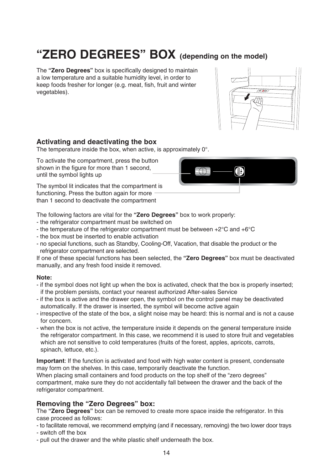# **"ZERO DEGREES" BOX (depending on the model)**

The **"Zero Degrees"** box is specifically designed to maintain a low temperature and a suitable humidity level, in order to keep foods fresher for longer (e.g. meat, fish, fruit and winter vegetables).



### **Activating and deactivating the box**

The temperature inside the box, when active, is approximately 0°.

To activate the compartment, press the button shown in the figure for more than 1 second, until the symbol lights up

The symbol lit indicates that the compartment is functioning. Press the button again for more than 1 second to deactivate the compartment



The following factors are vital for the **"Zero Degrees"** box to work properly:

- the refrigerator compartment must be switched on
- the temperature of the refrigerator compartment must be between +2°C and +6°C
- the box must be inserted to enable activation
- no special functions, such as Standby, Cooling-Off, Vacation, that disable the product or the refrigerator compartment are selected.

If one of these special functions has been selected, the **"Zero Degrees"** box must be deactivated manually, and any fresh food inside it removed.

### **Note:**

- if the symbol does not light up when the box is activated, check that the box is properly inserted; if the problem persists, contact your nearest authorized After-sales Service
- if the box is active and the drawer open, the symbol on the control panel may be deactivated automatically. If the drawer is inserted, the symbol will become active again
- irrespective of the state of the box, a slight noise may be heard: this is normal and is not a cause for concern.
- when the box is not active, the temperature inside it depends on the general temperature inside the refrigerator compartment. In this case, we recommend it is used to store fruit and vegetables which are not sensitive to cold temperatures (fruits of the forest, apples, apricots, carrots, spinach, lettuce, etc.).

**Important**: If the function is activated and food with high water content is present, condensate may form on the shelves. In this case, temporarily deactivate the function.

When placing small containers and food products on the top shelf of the "zero degrees" compartment, make sure they do not accidentally fall between the drawer and the back of the refrigerator compartment.

## **Removing the "Zero Degrees" box:**

The **"Zero Degrees"** box can be removed to create more space inside the refrigerator. In this case proceed as follows:

- to facilitate removal, we recommend emptying (and if necessary, removing) the two lower door trays

- switch off the box
- pull out the drawer and the white plastic shelf underneath the box.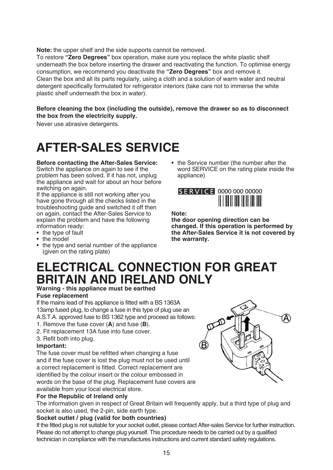**Note:** the upper shelf and the side supports cannot be removed.

To restore **"Zero Degrees"** box operation, make sure you replace the white plastic shelf underneath the box before inserting the drawer and reactivating the function. To optimise energy consumption, we recommend you deactivate the **"Zero Degrees"** box and remove it. Clean the box and all its parts regularly, using a cloth and a solution of warm water and neutral detergent specifically formulated for refrigerator interiors (take care not to immerse the white plastic shelf underneath the box in water).

#### **Before cleaning the box (including the outside), remove the drawer so as to disconnect the box from the electricity supply.**

Never use abrasive detergents.

# **AFTER-SALES SERVICE**

**Before contacting the After-Sales Service:** Switch the appliance on again to see if the problem has been solved. If it has not, unplug the appliance and wait for about an hour before switching on again.

If the appliance is still not working after you have gone through all the checks listed in the troubleshooting guide and switched it off then on again, contact the After-Sales Service to explain the problem and have the following information ready:

- the type of fault
- the model
- the type and serial number of the appliance (given on the rating plate)

• the Service number (the number after the word SERVICE on the rating plate inside the appliance)



**Note:**

**the door opening direction can be changed. If this operation is performed by the After-Sales Service it is not covered by the warranty.**

## **ELECTRICAL CONNECTION FOR GREAT BRITAIN AND IRELAND ONLY**

## **Warning - this appliance must be earthed**

### **Fuse replacement**

If the mains lead of this appliance is fitted with a BS 1363A 13amp fused plug, to change a fuse in this type of plug use an A.S.T.A. approved fuse to BS 1362 type and proceed as follows:

- 1. Remove the fuse cover (**A**) and fuse (**B**).
- 2. Fit replacement 13A fuse into fuse cover.
- 3. Refit both into plug.

### **Important:**

The fuse cover must be refitted when changing a fuse and if the fuse cover is lost the plug must not be used until a correct replacement is fitted. Correct replacement are identified by the colour insert or the colour embossed in words on the base of the plug. Replacement fuse covers are available from your local electrical store.

### **For the Republic of Ireland only**

The information given in respect of Great Britain will frequently apply, but a third type of plug and socket is also used, the 2-pin, side earth type.

### **Socket outlet / plug (valid for both countries)**

If the fitted plug is not suitable for your socket outlet, please contact After-sales Service for further instruction. Please do not attempt to change plug yourself. This procedure needs to be carried out by a qualified technician in compliance with the manufactures instructions and current standard safety regulations.